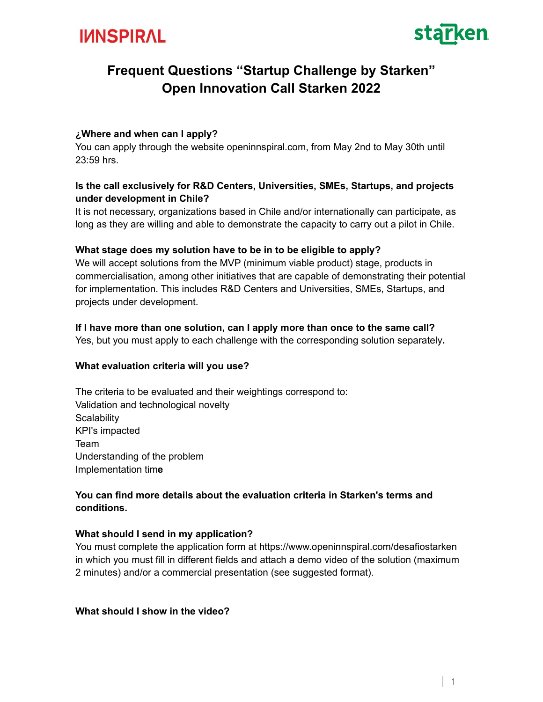



# **Frequent Questions "Startup Challenge by Starken" Open Innovation Call Starken 2022**

#### **¿Where and when can I apply?**

You can apply through the website openinnspiral.com, from May 2nd to May 30th until 23:59 hrs.

#### **Is the call exclusively for R&D Centers, Universities, SMEs, Startups, and projects under development in Chile?**

It is not necessary, organizations based in Chile and/or internationally can participate, as long as they are willing and able to demonstrate the capacity to carry out a pilot in Chile.

#### **What stage does my solution have to be in to be eligible to apply?**

We will accept solutions from the MVP (minimum viable product) stage, products in commercialisation, among other initiatives that are capable of demonstrating their potential for implementation. This includes R&D Centers and Universities, SMEs, Startups, and projects under development.

#### **If I have more than one solution, can I apply more than once to the same call?**

Yes, but you must apply to each challenge with the corresponding solution separately**.**

#### **What evaluation criteria will you use?**

The criteria to be evaluated and their weightings correspond to: Validation and technological novelty **Scalability** KPI's impacted Team Understanding of the problem Implementation tim**e**

#### **You can find more details about the evaluation criteria in Starken's terms and conditions.**

## **What should I send in my application?**

You must complete the application form at https://www.openinnspiral.com/desafiostarken in which you must fill in different fields and attach a demo video of the solution (maximum 2 minutes) and/or a commercial presentation (see suggested format).

#### **What should I show in the video?**